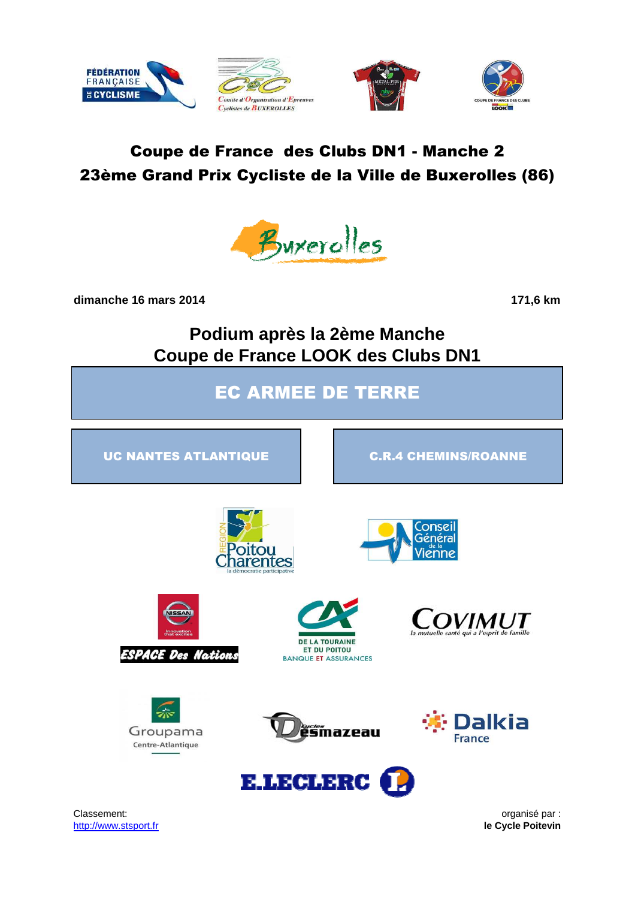







# Coupe de France des Clubs DN1 - Manche 2 23ème Grand Prix Cycliste de la Ville de Buxerolles (86)



**dimanche 16 mars 2014 171,6 km**

**Podium après la 2ème Manche Coupe de France LOOK des Clubs DN1**

EC ARMEE DE TERRE

UC NANTES ATLANTIQUE **C.R.4 CHEMINS/ROANNE** 







Groupama

Centre-Atlantique









Classement: **organisé par :**  $\overline{a}$  organisé par : http://www.stsport.fr **le Cycle Poitevin**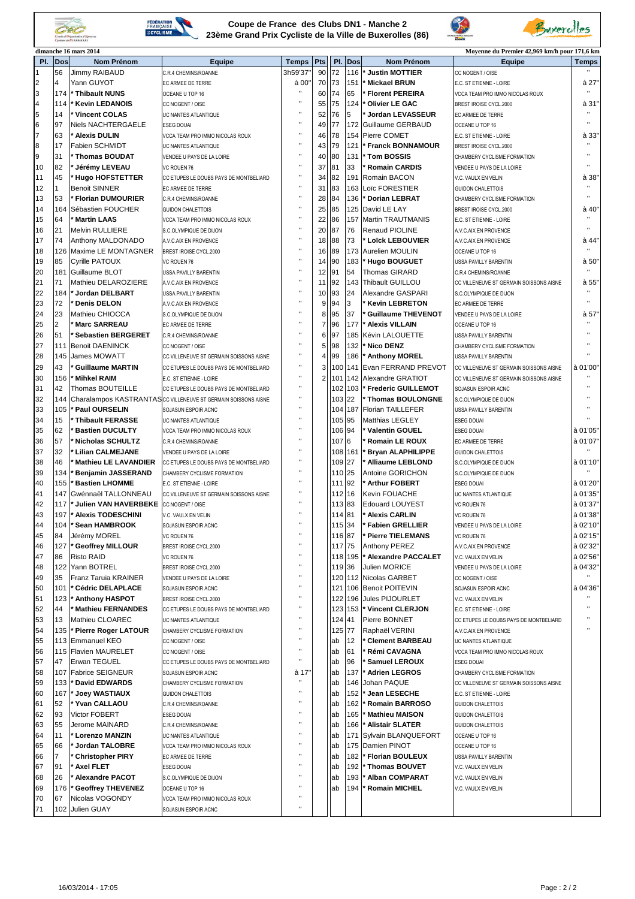



#### **Coupe de France des Clubs DN1 - Manche 2 23ème Grand Prix Cycliste de la Ville de Buxerolles (86)**



Buxerolles

|                |                | dimanche 16 mars 2014         |                                                               |                    |                 |        |         |                           | Moyenne du Premier 42,969 km/h pour 171,6 km |                |
|----------------|----------------|-------------------------------|---------------------------------------------------------------|--------------------|-----------------|--------|---------|---------------------------|----------------------------------------------|----------------|
| PI.            | <b>Dos</b>     | <b>Nom Prénom</b>             | Equipe                                                        | Temps   Pts        |                 | PI.    | Dos     | <b>Nom Prénom</b>         | Equipe                                       | <b>Temps</b>   |
| 1              | 56             | <b>Jimmy RAIBAUD</b>          | C.R.4 CHEMINS/ROANNE                                          | 3h59'37'           | 90              | 72     | 116     | <b>Justin MOTTIER</b>     | CC NOGENT / OISE                             |                |
| $\overline{2}$ | 4              | Yann GUYOT                    | EC ARMEE DE TERRE                                             | à 00'              | 70              | 73     | 151     | <b>Mickael BRUN</b>       | E.C. ST ETIENNE - LOIRE                      | à 27'          |
| 3              | 174            | ' Thibault NUNS               | OCEANE U TOP 16                                               | $\bar{\mathbf{u}}$ | 60              | 74     | 65      | <b>Florent PEREIRA</b>    | VCCA TEAM PRO IMMO NICOLAS ROUX              |                |
| $\overline{4}$ | 114            | <b>Kevin LEDANOIS</b>         | CC NOGENT / OISE                                              | $\mathbf{u}$       | 55              | 75     | 124     | Olivier LE GAC            | BREST IROISE CYCL.2000                       | à 31"          |
|                |                | Vincent COLAS                 |                                                               | Ĥ,                 |                 |        | 5       |                           |                                              |                |
| 5              | 14             |                               | UC NANTES ATLANTIQUE                                          | $\mathbf{u}$       | 52              | 76     |         | Jordan LEVASSEUR          | EC ARMEE DE TERRE                            |                |
| $\bf 6$        | 97             | Niels NACHTERGAELE            | <b>ESEG DOUAI</b>                                             | $\mathbf{u}$       | 49              | 77     | 172     | Guillaume GERBAUD         | OCEANE U TOP 16                              |                |
| $\overline{7}$ | 63             | ' Alexis DULIN                | VCCA TEAM PRO IMMO NICOLAS ROUX                               |                    | 46              | 78     | 154     | Pierre COMET              | E.C. ST ETIENNE - LOIRE                      | à 33'          |
| 8              | 17             | Fabien SCHMIDT                | UC NANTES ATLANTIQUE                                          | $\mathbf{u}$       |                 | 43 79  | 121     | <b>Franck BONNAMOUR</b>   | BREST IROISE CYCL.2000                       |                |
| 9              | 31             | ' Thomas BOUDAT               | VENDEE U PAYS DE LA LOIRE                                     | $\mathbf{u}$       | 40              | 80     | 131     | <b>Tom BOSSIS</b>         | CHAMBERY CYCLISME FORMATION                  | $\blacksquare$ |
| 10             | 82             | Jérémy LEVEAU                 | VC ROUEN 76                                                   |                    | 37              | 81     | 33      | <b>Romain CARDIS</b>      | VENDEE U PAYS DE LA LOIRE                    |                |
| 11             | 45             | <b>Hugo HOFSTETTER</b>        | CC ETUPES LE DOUBS PAYS DE MONTBELIARD                        | $\mathbf{u}$       | 34              | 82     | 191     | Romain BACON              | V.C. VAULX EN VELIN                          | à 38'          |
| 12             |                | <b>Benoit SINNER</b>          | EC ARMEE DE TERRE                                             | Ţ.                 | 31              | 83     | 163     | Loïc FORESTIER            | <b>GUIDON CHALETTOIS</b>                     |                |
| 13             | 53             | Florian DUMOURIER             | C.R.4 CHEMINS/ROANNE                                          |                    | 28              | 84     | 136     | <b>Dorian LEBRAT</b>      | CHAMBERY CYCLISME FORMATION                  |                |
|                |                |                               |                                                               |                    |                 |        |         |                           |                                              |                |
| 14             | 164            | Sébastien FOUCHER             | <b>GUIDON CHALETTOIS</b>                                      | $\mathbf{u}$       | 25              | 85     | 125     | David LE LAY              | BREST IROISE CYCL.2000                       | à 40'          |
| 15             | 64             | <b>Martin LAAS</b>            | VCCA TEAM PRO IMMO NICOLAS ROUX                               |                    | 22              | 86     | 157     | Martin TRAUTMANIS         | E.C. ST ETIENNE - LOIRE                      |                |
| 16             | 21             | <b>Melvin RULLIERE</b>        | S.C.OLYMPIQUE DE DIJON                                        | $\bar{\mathbf{u}}$ | 20              | 87     | 76      | <b>Renaud PIOLINE</b>     | A.V.C.AIX EN PROVENCE                        |                |
| 17             | 74             | Anthony MALDONADO             | A.V.C.AIX EN PROVENCE                                         | Ĥ,                 | 18              | 88     | 73      | ' Loïck LEBOUVIER         | A.V.C.AIX EN PROVENCE                        | à 44'          |
| 18             | 126            | Maxime LE MONTAGNER           | BREST IROISE CYCL.2000                                        | $\mathbf{u}$       | 16              | 89     | 173     | Aurelien MOULIN           | OCEANE U TOP 16                              |                |
| 19             | 85             | <b>Cyrille PATOUX</b>         | VC ROUEN 76                                                   | $\bar{\mathbf{u}}$ | 14              | 90     | 183     | <b>Hugo BOUGUET</b>       | USSA PAVILLY BARENTIN                        | à 50"          |
| 20             | 181            | Guillaume BLOT                | USSA PAVILLY BARENTIN                                         | $\mathbf{u}$       | 12              | 91     | 54      | <b>Thomas GIRARD</b>      | C.R.4 CHEMINS/ROANNE                         |                |
| 21             | 71             | Mathieu DELAROZIERE           | A.V.C.AIX EN PROVENCE                                         | $\bar{\mathbf{u}}$ | 11              | 92     | 143     | Thibault GUILLOU          | CC VILLENEUVE ST GERMAIN SOISSONS AISNE      | à 55'          |
|                | 184            |                               |                                                               | $\bar{\mathbf{u}}$ | 10 <sup>1</sup> | 93     | 24      |                           |                                              |                |
| 22             |                | <b>Jordan DELBART</b>         | USSA PAVILLY BARENTIN                                         | Ĥ,                 |                 |        |         | Alexandre GASPARI         | S.C.OLYMPIQUE DE DIJON                       |                |
| 23             | 72             | Denis DELON                   | A.V.C.AIX EN PROVENCE                                         |                    | 9 <sup>1</sup>  | 94     | 3       | <b>Kevin LEBRETON</b>     | EC ARMEE DE TERRE                            |                |
| 24             | 23             | Mathieu CHIOCCA               | S.C.OLYMPIQUE DE DIJON                                        |                    | 81              | 95     | 37      | <b>Guillaume THEVENOT</b> | VENDEE U PAYS DE LA LOIRE                    | à 57'          |
| 25             | 2              | <b>Marc SARREAU</b>           | <b>EC ARMEE DE TERRE</b>                                      | J)                 | 7 <sup>1</sup>  | 96     | 177     | <b>Alexis VILLAIN</b>     | OCEANE U TOP 16                              |                |
| 26             | 51             | <b>Sebastien BERGERET</b>     | C.R.4 CHEMINS/ROANNE                                          |                    | 61              | 97     | 185     | Kévin LALOUETTE           | USSA PAVILLY BARENTIN                        |                |
| 27             | 11'            | <b>Benoit DAENINCK</b>        | CC NOGENT / OISE                                              |                    | 51              | 98     | 132     | Nico DENZ                 | CHAMBERY CYCLISME FORMATION                  |                |
| 28             | 145            | <b>James MOWATT</b>           | CC VILLENEUVE ST GERMAIN SOISSONS AISNE                       |                    | 41              | 99     | 186     | * Anthony MOREL           | <b>USSA PAVILLY BARENTIN</b>                 |                |
|                |                |                               |                                                               | $\mathbf{u}$       | $\overline{3}$  |        |         |                           |                                              |                |
| 29             | 43             | <b>Guillaume MARTIN</b>       | CC ETUPES LE DOUBS PAYS DE MONTBELIARD                        |                    |                 | 100    | 141     | Evan FERRAND PREVOT       | CC VILLENEUVE ST GERMAIN SOISSONS AISNE      | à 01'00'       |
| 30             | 156            | Mihkel RAIM                   | E.C. ST ETIENNE - LOIRE                                       |                    |                 | 101    | 142     | Alexandre GRATIOT         | CC VILLENEUVE ST GERMAIN SOISSONS AISNE      |                |
| 31             | 42             | Thomas BOUTEILLE              | CC ETUPES LE DOUBS PAYS DE MONTBELIARD                        | $\mathbf{u}$       |                 | 102    | 103     | * Frederic GUILLEMOT      | SOJASUN ESPOIR ACNC                          |                |
| 32             | 144            |                               | Charalampos KASTRANTASCC VILLENEUVE ST GERMAIN SOISSONS AISNE |                    |                 | 103    | 22      | <b>Thomas BOULONGNE</b>   | S.C.OLYMPIQUE DE DIJON                       |                |
| 33             | 105            | <b>Paul OURSELIN</b>          | SOJASUN ESPOIR ACNC                                           |                    |                 | 104    | 187     | <b>Florian TAILLEFER</b>  | USSA PAVILLY BARENTIN                        |                |
| 34             | 15             | Thibault FERASSE              | UC NANTES ATLANTIQUE                                          |                    |                 | 105 95 |         | Matthias LEGLEY           | <b>ESEG DOUAI</b>                            |                |
| 35             | 62             | <b>Bastien DUCULTY</b>        | VCCA TEAM PRO IMMO NICOLAS ROUX                               |                    |                 | 106    | 94      | Valentin GOUEL            | <b>ESEG DOUAI</b>                            | à 01'05'       |
| 36             | 57             | <b>Nicholas SCHULTZ</b>       | C.R.4 CHEMINS/ROANNE                                          |                    |                 | 107    | 6       | <b>Romain LE ROUX</b>     | EC ARMEE DE TERRE                            | à 01'07"       |
|                | 32             |                               |                                                               |                    |                 |        |         |                           |                                              |                |
| 37             |                | <b>Lilian CALMEJANE</b>       | VENDEE U PAYS DE LA LOIRE                                     |                    |                 |        | 108 161 | <b>Bryan ALAPHILIPPE</b>  | <b>GUIDON CHALETTOIS</b>                     |                |
| 38             | 46             | <b>Mathieu LE LAVANDIER</b>   | CC ETUPES LE DOUBS PAYS DE MONTBELIARD                        |                    |                 | 109    | 27      | Alliaume LEBLOND          | S.C.OLYMPIQUE DE DIJON                       | à 01'10"       |
| 39             | 134            | <b>Benjamin JASSERAND</b>     | CHAMBERY CYCLISME FORMATION                                   |                    |                 | 110    | 25      | Antoine GORICHON          | S.C.OLYMPIQUE DE DIJON                       |                |
| 40             | 155            | <b>Bastien LHOMME</b>         | E.C. ST ETIENNE - LOIRE                                       |                    |                 | 111    | 92      | ' Arthur FOBERT           | <b>ESEG DOUAI</b>                            | à 01'20"       |
| 41             | 147            | Gwénnaël TALLONNEAU           | CC VILLENEUVE ST GERMAIN SOISSONS AISNE                       |                    |                 | 112    | 16      | Kevin FOUACHE             | UC NANTES ATLANTIQUE                         | à 01'35'       |
| 42             | 117            | Julien VAN HAVERBEKE          | CC NOGENT / OISE                                              |                    |                 | 113 83 |         | <b>Edouard LOUYEST</b>    | VC ROUEN 76                                  | à 01'37'       |
| 43             | 197            | <b>Alexis TODESCHINI</b>      | V.C. VAULX EN VELIN                                           | $\mathbf{u}$       |                 | 114 81 |         | ' Alexis CARLIN           | VC ROUEN 76                                  | à 01'38"       |
| 44             | 104            | * Sean HAMBROOK               | SOJASUN ESPOIR ACNC                                           | $\mathbf{u}$       |                 | 115 34 |         | * Fabien GRELLIER         | VENDEE U PAYS DE LA LOIRE                    | à 02'10"       |
| 45             | 84             | Jérémy MOREL                  | VC ROUEN 76                                                   |                    |                 | 116 87 |         | Pierre TIELEMANS          | VC ROUEN 76                                  | à 02'15"       |
|                |                |                               |                                                               |                    |                 |        |         |                           |                                              |                |
| 46             | 127            | <sup>*</sup> Geoffrey MILLOUR | BREST IROISE CYCL.2000                                        |                    |                 | 117 75 |         | Anthony PEREZ             | A.V.C.AIX EN PROVENCE                        | à 02'32"       |
| 47             | 86             | <b>Risto RAID</b>             | VC ROUEN 76                                                   |                    |                 |        | 118 195 | * Alexandre PACCALET      | V.C. VAULX EN VELIN                          | à 02'56"       |
| 48             | 122            | Yann BOTREL                   | BREST IROISE CYCL.2000                                        |                    |                 | 119 36 |         | Julien MORICE             | VENDEE U PAYS DE LA LOIRE                    | à 04'32"       |
| 49             | 35             | Franz Taruia KRAINER          | VENDEE U PAYS DE LA LOIRE                                     |                    |                 | 120    | 112     | Nicolas GARBET            | CC NOGENT / OISE                             |                |
| 50             | 101            | <sup>*</sup> Cédric DELAPLACE | SOJASUN ESPOIR ACNC                                           |                    |                 | 121    |         | 106 Benoit POITEVIN       | SOJASUN ESPOIR ACNC                          | à 04'36'       |
| 51             | 123            | <b>Anthony HASPOT</b>         | BREST IROISE CYCL.2000                                        |                    |                 | 122    | 196     | <b>Jules PIJOURLET</b>    | V.C. VAULX EN VELIN                          |                |
| 52             | 44             | <b>Mathieu FERNANDES</b>      | CC ETUPES LE DOUBS PAYS DE MONTBELIARD                        |                    |                 | 123    | 153     | * Vincent CLERJON         | E.C. ST ETIENNE - LOIRE                      |                |
| 53             | 13             | Mathieu CLOAREC               | UC NANTES ATLANTIQUE                                          |                    |                 | 124    | 41      | Pierre BONNET             | CC ETUPES LE DOUBS PAYS DE MONTBELIARD       |                |
|                |                |                               |                                                               |                    |                 | 125 77 |         |                           |                                              |                |
| 54             | 135            | * Pierre Roger LATOUR         | CHAMBERY CYCLISME FORMATION                                   |                    |                 |        |         | Raphaël VERINI            | A.V.C.AIX EN PROVENCE                        |                |
| 55             | 113            | <b>Emmanuel KEO</b>           | CC NOGENT / OISE                                              |                    |                 | ab     | 12      | <b>Clement BARBEAU</b>    | UC NANTES ATLANTIQUE                         |                |
| 56             |                | 115 Flavien MAURELET          | CC NOGENT / OISE                                              |                    |                 | ab     | 61      | <b>Rémi CAVAGNA</b>       | VCCA TEAM PRO IMMO NICOLAS ROUX              |                |
| 57             | 47             | Erwan TEGUEL                  | CC ETUPES LE DOUBS PAYS DE MONTBELIARD                        |                    |                 | ab     | 96      | <b>Samuel LEROUX</b>      | <b>ESEG DOUAI</b>                            |                |
| 58             | 107            | <b>Fabrice SEIGNEUR</b>       | SOJASUN ESPOIR ACNC                                           | à 17'              |                 | ab     | 137     | <b>Adrien LEGROS</b>      | CHAMBERY CYCLISME FORMATION                  |                |
| 59             | 133            | David EDWARDS                 | CHAMBERY CYCLISME FORMATION                                   |                    |                 | ab     | 146     | Johan PAQUE               | CC VILLENEUVE ST GERMAIN SOISSONS AISNE      |                |
| 60             | 167            | Joey WASTIAUX                 | <b>GUIDON CHALETTOIS</b>                                      |                    |                 | ab     | 152     | Jean LESECHE              | E.C. ST ETIENNE - LOIRE                      |                |
| 61             | 52             | Yvan CALLAOU                  | C.R.4 CHEMINS/ROANNE                                          |                    |                 | ab     | 162     | <b>Romain BARROSO</b>     | <b>GUIDON CHALETTOIS</b>                     |                |
|                | 93             | Victor FOBERT                 |                                                               |                    |                 |        |         |                           |                                              |                |
| 62             |                |                               | <b>ESEG DOUAI</b>                                             |                    |                 | ab     | 165     | <b>Mathieu MAISON</b>     | <b>GUIDON CHALETTOIS</b>                     |                |
| 63             | 55             | Jerome MAINARD                | C.R.4 CHEMINS/ROANNE                                          |                    |                 | ab     | 166     | <b>Alistair SLATER</b>    | <b>GUIDON CHALETTOIS</b>                     |                |
| 64             | 11             | <b>Lorenzo MANZIN</b>         | UC NANTES ATLANTIQUE                                          |                    |                 | ab     | 171     | Sylvain BLANQUEFORT       | OCEANE U TOP 16                              |                |
| 65             | 66             | Jordan TALOBRE                | VCCA TEAM PRO IMMO NICOLAS ROUX                               |                    |                 | ab     | 175     | Damien PINOT              | OCEANE U TOP 16                              |                |
| 66             | $\overline{7}$ | <b>Christopher PIRY</b>       | EC ARMEE DE TERRE                                             |                    |                 | ab     | 182     | Florian BOULEUX           | USSA PAVILLY BARENTIN                        |                |
| 67             | 91             | <b>Axel FLET</b>              | <b>ESEG DOUAI</b>                                             |                    |                 | ab     | 192     | <b>Thomas BOUVET</b>      | V.C. VAULX EN VELIN                          |                |
| 68             | 26             | <b>Alexandre PACOT</b>        | S.C.OLYMPIQUE DE DIJON                                        |                    |                 | ab     | 193     | <b>Alban COMPARAT</b>     | V.C. VAULX EN VELIN                          |                |
| 69             | 176            | <b>Geoffrey THEVENEZ</b>      | OCEANE U TOP 16                                               |                    |                 | ab     | 194     | <b>Romain MICHEL</b>      | V.C. VAULX EN VELIN                          |                |
|                | 67             |                               |                                                               |                    |                 |        |         |                           |                                              |                |
| 70             |                | Nicolas VOGONDY               | VCCA TEAM PRO IMMO NICOLAS ROUX                               |                    |                 |        |         |                           |                                              |                |
| 71             | 102            | Julien GUAY                   | SOJASUN ESPOIR ACNC                                           |                    |                 |        |         |                           |                                              |                |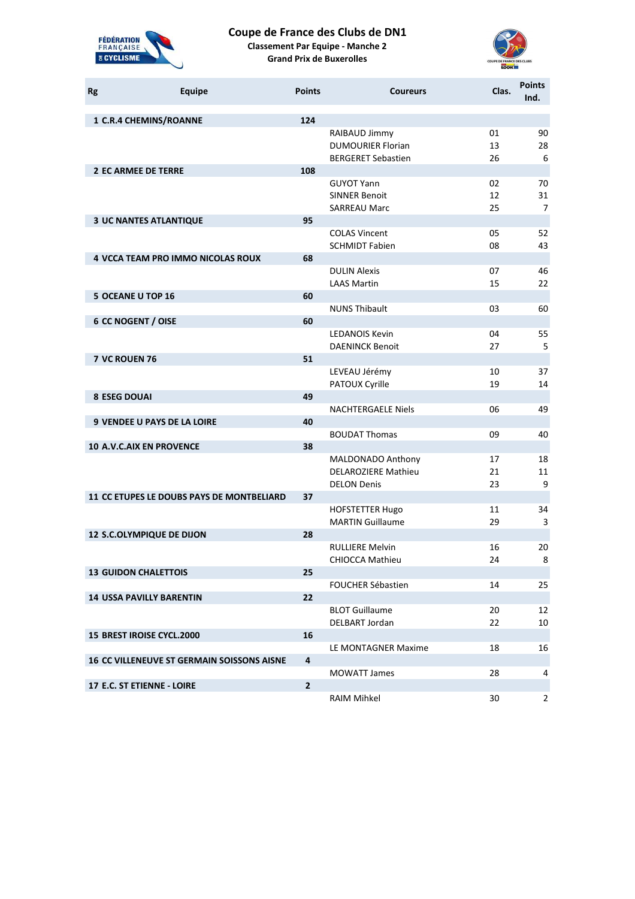

## **Coupe de France des Clubs de DN1**

**Classement Par Equipe - Manche 2 Grand Prix de Buxerolles**



| <b>Rg</b> | <b>Equipe</b>                                     | <b>Points</b> | <b>Coureurs</b>                                                        | Clas.          | <b>Points</b><br>Ind.      |
|-----------|---------------------------------------------------|---------------|------------------------------------------------------------------------|----------------|----------------------------|
|           | 1 C.R.4 CHEMINS/ROANNE                            | 124           |                                                                        |                |                            |
|           |                                                   |               | RAIBAUD Jimmy<br><b>DUMOURIER Florian</b><br><b>BERGERET Sebastien</b> | 01<br>13<br>26 | 90<br>28<br>6              |
|           | <b>2 EC ARMEE DE TERRE</b>                        | 108           |                                                                        |                |                            |
|           |                                                   |               | <b>GUYOT Yann</b><br><b>SINNER Benoit</b><br><b>SARREAU Marc</b>       | 02<br>12<br>25 | 70<br>31<br>$\overline{7}$ |
|           | <b>3 UC NANTES ATLANTIQUE</b>                     | 95            |                                                                        |                |                            |
|           |                                                   |               | <b>COLAS Vincent</b><br><b>SCHMIDT Fabien</b>                          | 05<br>08       | 52<br>43                   |
|           | 4 VCCA TEAM PRO IMMO NICOLAS ROUX                 | 68            |                                                                        |                |                            |
|           |                                                   |               | <b>DULIN Alexis</b><br><b>LAAS Martin</b>                              | 07<br>15       | 46<br>22                   |
|           | <b>5 OCEANE U TOP 16</b>                          | 60            |                                                                        |                |                            |
|           |                                                   |               | <b>NUNS Thibault</b>                                                   | 03             | 60                         |
|           | <b>6 CC NOGENT / OISE</b>                         | 60            |                                                                        |                |                            |
|           |                                                   |               | <b>LEDANOIS Kevin</b>                                                  | 04<br>27       | 55                         |
|           | 7 VC ROUEN 76                                     | 51            | <b>DAENINCK Benoit</b>                                                 |                | 5                          |
|           |                                                   |               | LEVEAU Jérémy                                                          | 10             | 37                         |
|           |                                                   |               | PATOUX Cyrille                                                         | 19             | 14                         |
|           | <b>8 ESEG DOUAI</b>                               | 49            |                                                                        |                |                            |
|           |                                                   |               | <b>NACHTERGAELE Niels</b>                                              | 06             | 49                         |
|           | <b>9 VENDEE U PAYS DE LA LOIRE</b>                | 40            |                                                                        |                |                            |
|           |                                                   |               | <b>BOUDAT Thomas</b>                                                   | 09             | 40                         |
|           | <b>10 A.V.C.AIX EN PROVENCE</b>                   | 38            |                                                                        |                |                            |
|           |                                                   |               | MALDONADO Anthony<br><b>DELAROZIERE Mathieu</b><br><b>DELON Denis</b>  | 17<br>21<br>23 | 18<br>11<br>9              |
|           | 11 CC ETUPES LE DOUBS PAYS DE MONTBELIARD         | 37            |                                                                        |                |                            |
|           |                                                   |               | <b>HOFSTETTER Hugo</b><br><b>MARTIN Guillaume</b>                      | 11<br>29       | 34<br>3                    |
|           | 12 S.C.OLYMPIQUE DE DIJON                         | 28            |                                                                        |                |                            |
|           |                                                   |               | <b>RULLIERE Melvin</b>                                                 | 16             | 20                         |
|           |                                                   |               | CHIOCCA Mathieu                                                        | 24             | 8                          |
|           | <b>13 GUIDON CHALETTOIS</b>                       | 25            |                                                                        |                |                            |
|           |                                                   |               | FOUCHER Sébastien                                                      | 14             | 25                         |
|           | <b>14 USSA PAVILLY BARENTIN</b>                   | 22            |                                                                        |                |                            |
|           |                                                   |               | <b>BLOT Guillaume</b>                                                  | 20             | 12                         |
|           |                                                   |               | DELBART Jordan                                                         | 22             | 10                         |
|           | 15 BREST IROISE CYCL.2000                         | 16            |                                                                        | 18             | 16                         |
|           | <b>16 CC VILLENEUVE ST GERMAIN SOISSONS AISNE</b> | $\pmb{4}$     | LE MONTAGNER Maxime                                                    |                |                            |
|           |                                                   |               | <b>MOWATT James</b>                                                    | 28             | 4                          |
|           | 17 E.C. ST ETIENNE - LOIRE                        | $\mathbf{2}$  |                                                                        |                |                            |
|           |                                                   |               | RAIM Mihkel                                                            | 30             | $2^{\circ}$                |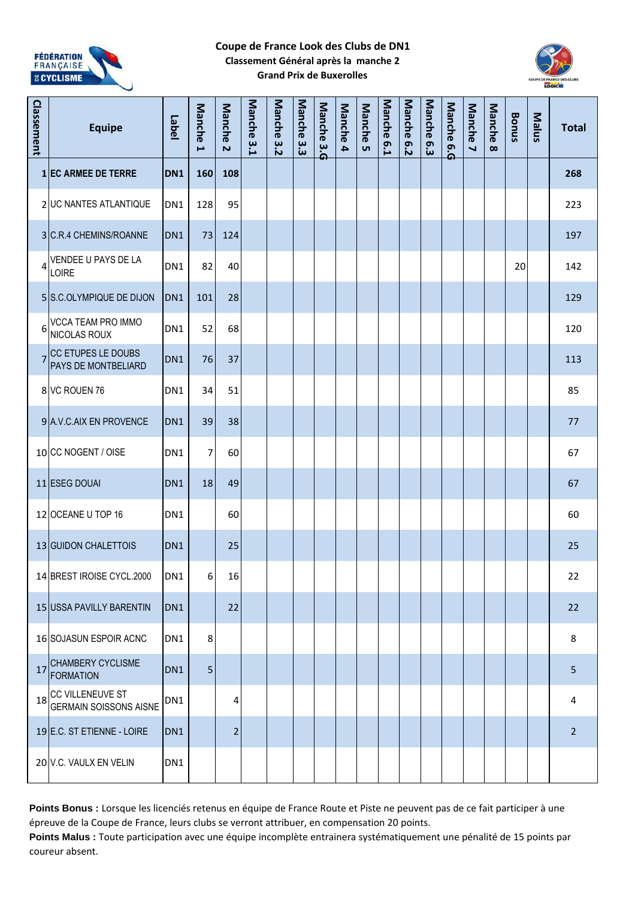

#### **Coupe de France Look des Clubs de DN1 Classement Général après la manche 2 Grand Prix de Buxerolles**



| Classement     | <b>Equipe</b>                                        | Label           | Manche<br>$\overline{\phantom{0}}$ | Manche <sub>2</sub> | Manche 3.1 | <b>Manche</b><br>3.2 | Manche 3.3 | Manche 3.4 | <b>Manche</b><br>4 | Manche 5 | Manche<br>6.1 | Manche 6.2 | Manche<br>6.3 | Manche 6.4 | Manche 7 | Manche<br>$\infty$ | <b>Bonus</b> | Malus | <b>Total</b>   |
|----------------|------------------------------------------------------|-----------------|------------------------------------|---------------------|------------|----------------------|------------|------------|--------------------|----------|---------------|------------|---------------|------------|----------|--------------------|--------------|-------|----------------|
|                | <b>1 EC ARMEE DE TERRE</b>                           | DN <sub>1</sub> | 160                                | 108                 |            |                      |            |            |                    |          |               |            |               |            |          |                    |              |       | 268            |
|                | 2 UC NANTES ATLANTIQUE                               | DN <sub>1</sub> | 128                                | 95                  |            |                      |            |            |                    |          |               |            |               |            |          |                    |              |       | 223            |
|                | 3 C.R.4 CHEMINS/ROANNE                               | DN <sub>1</sub> | 73                                 | 124                 |            |                      |            |            |                    |          |               |            |               |            |          |                    |              |       | 197            |
| $\overline{4}$ | VENDEE U PAYS DE LA<br>LOIRE                         | DN1             | 82                                 | 40                  |            |                      |            |            |                    |          |               |            |               |            |          |                    | 20           |       | 142            |
|                | 5 S.C.OLYMPIQUE DE DIJON                             | DN1             | 101                                | 28                  |            |                      |            |            |                    |          |               |            |               |            |          |                    |              |       | 129            |
| 6              | VCCA TEAM PRO IMMO<br>NICOLAS ROUX                   | DN1             | 52                                 | 68                  |            |                      |            |            |                    |          |               |            |               |            |          |                    |              |       | 120            |
| 7              | CC ETUPES LE DOUBS<br>PAYS DE MONTBELIARD            | DN <sub>1</sub> | 76                                 | 37                  |            |                      |            |            |                    |          |               |            |               |            |          |                    |              |       | 113            |
|                | 8 VC ROUEN 76                                        | DN <sub>1</sub> | 34                                 | 51                  |            |                      |            |            |                    |          |               |            |               |            |          |                    |              |       | 85             |
|                | 9 A.V.C.AIX EN PROVENCE                              | DN <sub>1</sub> | 39                                 | 38                  |            |                      |            |            |                    |          |               |            |               |            |          |                    |              |       | 77             |
|                | 10 CC NOGENT / OISE                                  | DN <sub>1</sub> | 7                                  | 60                  |            |                      |            |            |                    |          |               |            |               |            |          |                    |              |       | 67             |
|                | 11 ESEG DOUAI                                        | DN <sub>1</sub> | 18                                 | 49                  |            |                      |            |            |                    |          |               |            |               |            |          |                    |              |       | 67             |
|                | 12 OCEANE U TOP 16                                   | DN1             |                                    | 60                  |            |                      |            |            |                    |          |               |            |               |            |          |                    |              |       | 60             |
|                | 13 GUIDON CHALETTOIS                                 | DN <sub>1</sub> |                                    | 25                  |            |                      |            |            |                    |          |               |            |               |            |          |                    |              |       | 25             |
|                | 14 BREST IROISE CYCL.2000                            | DN1             | 6                                  | 16                  |            |                      |            |            |                    |          |               |            |               |            |          |                    |              |       | 22             |
|                | 15 USSA PAVILLY BARENTIN                             | DN <sub>1</sub> |                                    | 22                  |            |                      |            |            |                    |          |               |            |               |            |          |                    |              |       | 22             |
|                | 16 SOJASUN ESPOIR ACNC                               | DN1             | 8                                  |                     |            |                      |            |            |                    |          |               |            |               |            |          |                    |              |       | 8              |
| 17             | <b>CHAMBERY CYCLISME</b><br><b>FORMATION</b>         | DN <sub>1</sub> | 5                                  |                     |            |                      |            |            |                    |          |               |            |               |            |          |                    |              |       | 5              |
|                | 18 CC VILLENEUVE ST<br><b>GERMAIN SOISSONS AISNE</b> | DN1             |                                    | 4                   |            |                      |            |            |                    |          |               |            |               |            |          |                    |              |       | 4              |
|                | 19 E.C. ST ETIENNE - LOIRE                           | DN <sub>1</sub> |                                    | 2                   |            |                      |            |            |                    |          |               |            |               |            |          |                    |              |       | $\overline{2}$ |
|                | 20 V.C. VAULX EN VELIN                               | DN1             |                                    |                     |            |                      |            |            |                    |          |               |            |               |            |          |                    |              |       |                |

Points Bonus : Lorsque les licenciés retenus en équipe de France Route et Piste ne peuvent pas de ce fait participer à une épreuve de la Coupe de France, leurs clubs se verront attribuer, en compensation 20 points.

**Points Malus :** Toute participation avec une équipe incomplète entrainera systématiquement une pénalité de 15 points par coureur absent.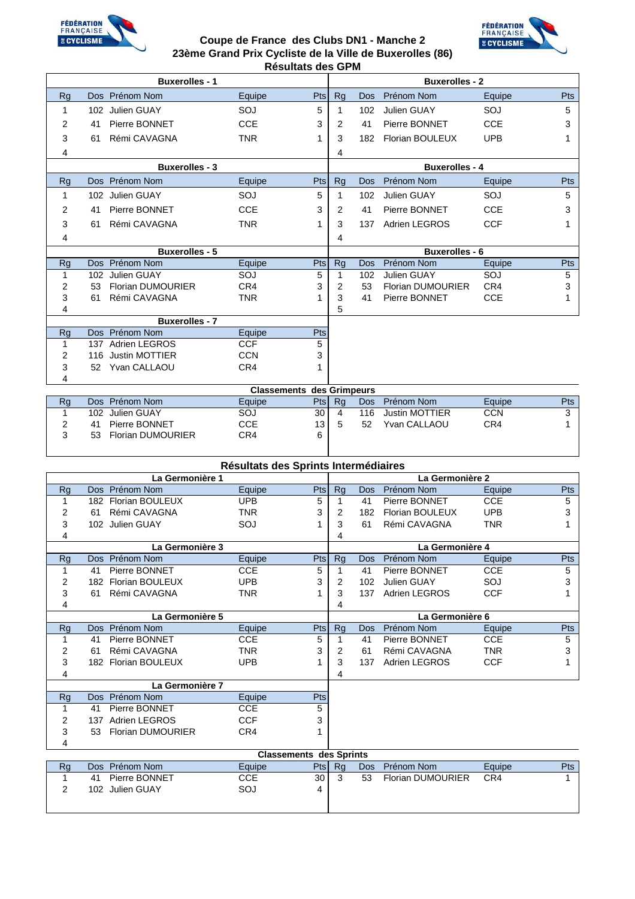

### **Coupe de France des Clubs DN1 - Manche 2 23ème Grand Prix Cycliste de la Ville de Buxerolles (86) Résultats des GPM**



| <b>Buxerolles - 1</b> |                                |            |     | <b>Buxerolles - 2</b> |            |                          |            |     |  |
|-----------------------|--------------------------------|------------|-----|-----------------------|------------|--------------------------|------------|-----|--|
| <b>Rg</b>             | Dos Prénom Nom                 | Equipe     | Pts | Rg                    | <b>Dos</b> | Prénom Nom               | Equipe     | Pts |  |
|                       | 102 Julien GUAY                | SOJ        | 5   |                       | 102        | Julien GUAY              | SOJ        | 5   |  |
| 2                     | Pierre BONNET<br>41            | <b>CCE</b> | 3   | 2                     | 41         | Pierre BONNET            | <b>CCE</b> | 3   |  |
| 3                     | Rémi CAVAGNA<br>61             | <b>TNR</b> | 1   | 3                     | 182        | <b>Florian BOULEUX</b>   | <b>UPB</b> |     |  |
| 4                     |                                |            |     | 4                     |            |                          |            |     |  |
|                       | <b>Buxerolles - 3</b>          |            |     |                       |            | <b>Buxerolles - 4</b>    |            |     |  |
| Rg                    | Dos Prénom Nom                 | Equipe     | Pts | <b>Rg</b>             | <b>Dos</b> | Prénom Nom               | Equipe     | Pts |  |
| 1                     | 102 Julien GUAY                | SOJ        | 5   |                       | 102        | <b>Julien GUAY</b>       | SOJ        | 5   |  |
| 2                     | Pierre BONNET<br>41            | <b>CCE</b> | 3   | 2                     | 41         | Pierre BONNET            | <b>CCE</b> | 3   |  |
| 3                     | Rémi CAVAGNA<br>61             | <b>TNR</b> | 1   | 3                     | 137        | Adrien LEGROS            | <b>CCF</b> | 1   |  |
| 4                     |                                |            |     | 4                     |            |                          |            |     |  |
|                       | <b>Buxerolles - 5</b>          |            |     | <b>Buxerolles - 6</b> |            |                          |            |     |  |
| <b>Rg</b>             | Dos Prénom Nom                 | Equipe     | Pts | <b>Rg</b>             | <b>Dos</b> | Prénom Nom               | Equipe     | Pts |  |
| 1                     | 102 Julien GUAY                | SOJ        | 5   |                       | 102        | <b>Julien GUAY</b>       | SOJ        | 5   |  |
| 2                     | <b>Florian DUMOURIER</b><br>53 | CR4        | 3   | 2                     | 53         | <b>Florian DUMOURIER</b> | CR4        | 3   |  |
| 3                     | Rémi CAVAGNA<br>61             | <b>TNR</b> |     | 3                     | 41         | Pierre BONNET            | <b>CCE</b> |     |  |
| 4                     |                                |            |     | 5                     |            |                          |            |     |  |
|                       | <b>Buxerolles - 7</b>          |            |     |                       |            |                          |            |     |  |
| Rg                    | Dos Prénom Nom                 | Equipe     | Pts |                       |            |                          |            |     |  |
|                       | 137 Adrien LEGROS              | <b>CCF</b> | 5   |                       |            |                          |            |     |  |
| 2                     | <b>Justin MOTTIER</b><br>116   | <b>CCN</b> | 3   |                       |            |                          |            |     |  |
| 3                     | Yvan CALLAOU<br>52             | CR4        | 1   |                       |            |                          |            |     |  |
| 4                     |                                |            |     |                       |            |                          |            |     |  |

| <b>Classements des Grimpeurs</b> |                                |        |      |    |            |                |            |            |  |  |  |  |
|----------------------------------|--------------------------------|--------|------|----|------------|----------------|------------|------------|--|--|--|--|
|                                  | Dos Prénom Nom                 | Eauipe | Ptsl | Ra | <b>Dos</b> | Prénom Nom     | Equipe     | <b>Pts</b> |  |  |  |  |
|                                  | 102 Julien GUAY                | SOJ    | 30   |    | 116.       | Justin MOTTIER | <b>CCN</b> |            |  |  |  |  |
|                                  | Pierre BONNET<br>41            | CCE    | 13.  |    | 52         | Yvan CALLAOU   | CR4        |            |  |  |  |  |
| ິ                                | <b>Florian DUMOURIER</b><br>53 | CR4    | 6    |    |            |                |            |            |  |  |  |  |
|                                  |                                |        |      |    |            |                |            |            |  |  |  |  |

|           | Résultats des Sprints Intermédiaires |            |            |                 |     |                        |            |     |  |  |  |  |  |
|-----------|--------------------------------------|------------|------------|-----------------|-----|------------------------|------------|-----|--|--|--|--|--|
|           | La Germonière 1                      |            |            | La Germonière 2 |     |                        |            |     |  |  |  |  |  |
| <b>Rg</b> | Dos Prénom Nom                       | Equipe     | <b>Pts</b> | <b>Rg</b>       | Dos | Prénom Nom             | Equipe     | Pts |  |  |  |  |  |
| 1         | <b>Florian BOULEUX</b><br>182        | <b>UPB</b> | 5          | 1               | 41  | Pierre BONNET          | <b>CCE</b> | 5   |  |  |  |  |  |
| 2         | Rémi CAVAGNA<br>61                   | TNR        | 3          | 2               | 182 | <b>Florian BOULEUX</b> | <b>UPB</b> | 3   |  |  |  |  |  |
| 3         | Julien GUAY<br>102 <sub>1</sub>      | SOJ        |            | 3               | 61  | Rémi CAVAGNA           | <b>TNR</b> |     |  |  |  |  |  |
| 4         |                                      |            |            | 4               |     |                        |            |     |  |  |  |  |  |
|           | La Germonière 3                      |            |            |                 |     | La Germonière 4        |            |     |  |  |  |  |  |
| <b>Rg</b> | Prénom Nom<br><b>Dos</b>             | Equipe     | Pts        | <b>Rg</b>       | Dos | Prénom Nom             | Equipe     | Pts |  |  |  |  |  |
| 1         | Pierre BONNET<br>41                  | <b>CCE</b> | 5          | 1               | 41  | Pierre BONNET          | <b>CCE</b> | 5   |  |  |  |  |  |
| 2         | Florian BOULEUX<br>182               | <b>UPB</b> | 3          | $\overline{2}$  | 102 | Julien GUAY            | SOJ        | 3   |  |  |  |  |  |
| 3         | Rémi CAVAGNA<br>61                   | <b>TNR</b> |            | 3               | 137 | <b>Adrien LEGROS</b>   | <b>CCF</b> |     |  |  |  |  |  |
| 4         |                                      |            |            | 4               |     |                        |            |     |  |  |  |  |  |
|           | La Germonière 5                      |            |            | La Germonière 6 |     |                        |            |     |  |  |  |  |  |
| <b>Rg</b> | Dos Prénom Nom                       | Equipe     | Pts        | <b>Rg</b>       | Dos | Prénom Nom             | Equipe     | Pts |  |  |  |  |  |
| 1         |                                      |            |            |                 |     |                        |            | 5   |  |  |  |  |  |
|           | Pierre BONNET<br>41                  | <b>CCE</b> | 5          | 1               | 41  | Pierre BONNET          | <b>CCE</b> |     |  |  |  |  |  |
| 2         | Rémi CAVAGNA<br>61                   | <b>TNR</b> | 3          | $\overline{2}$  | 61  | Rémi CAVAGNA           | <b>TNR</b> | 3   |  |  |  |  |  |
| 3         | <b>Florian BOULEUX</b><br>182        | <b>UPB</b> |            | 3               | 137 | <b>Adrien LEGROS</b>   | <b>CCF</b> |     |  |  |  |  |  |
| 4         |                                      |            |            | 4               |     |                        |            |     |  |  |  |  |  |
|           | La Germonière 7                      |            |            |                 |     |                        |            |     |  |  |  |  |  |
| <b>Rg</b> | Prénom Nom<br><b>Dos</b>             | Equipe     | Pts        |                 |     |                        |            |     |  |  |  |  |  |
| 1         | Pierre BONNET<br>41                  | <b>CCE</b> | 5          |                 |     |                        |            |     |  |  |  |  |  |
| 2         | <b>Adrien LEGROS</b><br>137          | <b>CCF</b> | 3          |                 |     |                        |            |     |  |  |  |  |  |
| 3         | <b>Florian DUMOURIER</b><br>53       | CR4        |            |                 |     |                        |            |     |  |  |  |  |  |
| 4         |                                      |            |            |                 |     |                        |            |     |  |  |  |  |  |

|    | Classements des Sprints |        |      |    |            |                          |        |      |  |  |  |  |  |
|----|-------------------------|--------|------|----|------------|--------------------------|--------|------|--|--|--|--|--|
| Rq | Dos Prénom Nom          | Eauipe | Ptsl | Ra | <b>Dos</b> | Prénom Nom               | Equipe | Pts: |  |  |  |  |  |
|    | Pierre BONNET<br>41     | CCE    | 30   |    | 53         | <b>Florian DUMOURIER</b> | CR4    |      |  |  |  |  |  |
|    | 102 Julien GUAY         | SOJ    |      |    |            |                          |        |      |  |  |  |  |  |
|    |                         |        |      |    |            |                          |        |      |  |  |  |  |  |